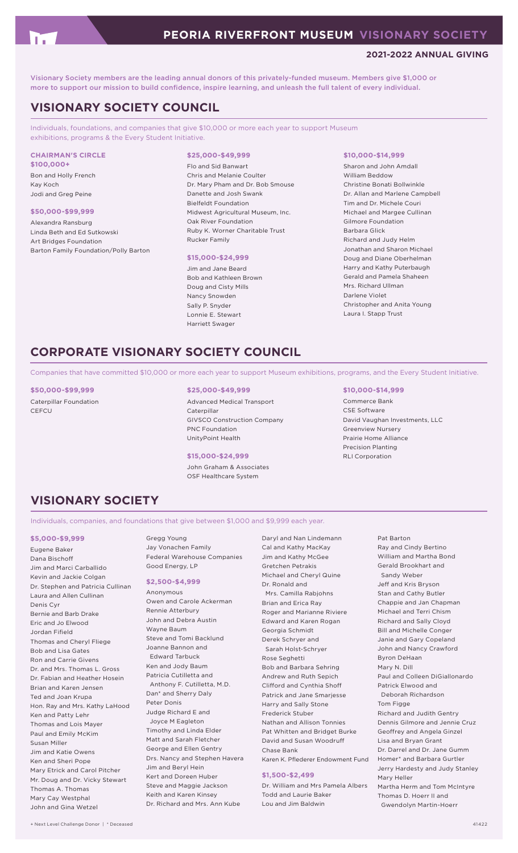# **2021-2022 ANNUAL GIVING**

Visionary Society members are the leading annual donors of this privately-funded museum. Members give \$1,000 or more to support our mission to build confidence, inspire learning, and unleash the full talent of every individual.

# **VISIONARY SOCIETY COUNCIL**

Individuals, foundations, and companies that give \$10,000 or more each year to support Museum exhibitions, programs & the Every Student Initiative.

#### **CHAIRMAN'S CIRCLE \$100,000+**

Bon and Holly French Kay Koch Jodi and Greg Peine

# **\$50,000-\$99,999**

Alexandra Ransburg Linda Beth and Ed Sutkowski Art Bridges Foundation Barton Family Foundation/Polly Barton

#### **\$25,000-\$49,999**

Flo and Sid Banwart Chris and Melanie Coulter Dr. Mary Pham and Dr. Bob Smouse Danette and Josh Swank Bielfeldt Foundation Midwest Agricultural Museum, Inc. Oak River Foundation Ruby K. Worner Charitable Trust Rucker Family

#### **\$15,000-\$24,999**

Jim and Jane Beard Bob and Kathleen Brown Doug and Cisty Mills Nancy Snowden Sally P. Snyder Lonnie E. Stewart Harriett Swager

#### **\$10,000-\$14,999**

Sharon and John Amdall William Beddow Christine Bonati Bollwinkle Dr. Allan and Marlene Campbell Tim and Dr. Michele Couri Michael and Margee Cullinan Gilmore Foundation Barbara Glick Richard and Judy Helm Jonathan and Sharon Michael Doug and Diane Oberhelman Harry and Kathy Puterbaugh Gerald and Pamela Shaheen Mrs. Richard Ullman Darlene Violet Christopher and Anita Young Laura I. Stapp Trust

# **CORPORATE VISIONARY SOCIETY COUNCIL**

Companies that have committed \$10,000 or more each year to support Museum exhibitions, programs, and the Every Student Initiative.

**\$50,000-\$99,999** Caterpillar Foundation **CEFCU** 

## **\$25,000-\$49,999**

Advanced Medical Transport **Caterpillar** GIVSCO Construction Company PNC Foundation UnityPoint Health

# **\$15,000-\$24,999** RLI Corporation

John Graham & Associates OSF Healthcare System

## **\$10,000-\$14,999**

Commerce Bank CSE Software David Vaughan Investments, LLC Greenview Nursery Prairie Home Alliance Precision Planting

# **VISIONARY SOCIETY**

Individuals, companies, and foundations that give between \$1,000 and \$9,999 each year.

#### **\$5,000-\$9,999**

Eugene Baker Dana Bischoff Jim and Marci Carballido Kevin and Jackie Colgan Dr. Stephen and Patricia Cullinan Laura and Allen Cullinan Denis Cyr Bernie and Barb Drake Eric and Jo Elwood Jordan Fifield Thomas and Cheryl Fliege Bob and Lisa Gates Ron and Carrie Givens Dr. and Mrs. Thomas L. Gross Dr. Fabian and Heather Hosein Brian and Karen Jensen Ted and Joan Krupa Hon. Ray and Mrs. Kathy LaHood Ken and Patty Lehr Thomas and Lois Mayer Paul and Emily McKim Susan Miller Jim and Katie Owens Ken and Sheri Pope Mary Etrick and Carol Pitcher Mr. Doug and Dr. Vicky Stewart Thomas A. Thomas Mary Cay Westphal John and Gina Wetzel

Gregg Young Jay Vonachen Family Federal Warehouse Companies Good Energy, LP

### **\$2,500-\$4,999**

Anonymous Owen and Carole Ackerman Rennie Atterbury John and Debra Austin Wayne Baum Steve and Tomi Backlund Joanne Bannon and Edward Tarbuck Ken and Jody Baum Patricia Cutilletta and Anthony F. Cutilletta, M.D. Dan\* and Sherry Daly Peter Donis Judge Richard E and Joyce M Eagleton Timothy and Linda Elder Matt and Sarah Fletcher George and Ellen Gentry Drs. Nancy and Stephen Havera Jim and Beryl Hein Kert and Doreen Huber Steve and Maggie Jackson Keith and Karen Kinsey Dr. Richard and Mrs. Ann Kube

Daryl and Nan Lindemann Cal and Kathy MacKay Jim and Kathy McGee Gretchen Petrakis Michael and Cheryl Quine Dr. Ronald and Mrs. Camilla Rabjohns Brian and Erica Ray Roger and Marianne Riviere Edward and Karen Rogan Georgia Schmidt Derek Schryer and Sarah Holst-Schryer Rose Seghetti Bob and Barbara Sehring Andrew and Ruth Sepich Clifford and Cynthia Shoff Patrick and Jane Smarjesse Harry and Sally Stone Frederick Stuber Nathan and Allison Tonnies Pat Whitten and Bridget Burke David and Susan Woodruff Chase Bank Karen K. Pflederer Endowment Fund **\$1,500-\$2,499**

Dr. William and Mrs Pamela Albers Todd and Laurie Baker Lou and Jim Baldwin

Pat Barton Ray and Cindy Bertino William and Martha Bond Gerald Brookhart and Sandy Weber Jeff and Kris Bryson Stan and Cathy Butler Chappie and Jan Chapman Michael and Terri Chism Richard and Sally Cloyd Bill and Michelle Conger Janie and Gary Copeland John and Nancy Crawford Byron DeHaan Mary N. Dill Paul and Colleen DiGiallonardo Patrick Elwood and Deborah Richardson Tom Figge Richard and Judith Gentry Dennis Gilmore and Jennie Cruz Geoffrey and Angela Ginzel Lisa and Bryan Grant Dr. Darrel and Dr. Jane Gumm Homer\* and Barbara Gurtler Jerry Hardesty and Judy Stanley Mary Heller Martha Herm and Tom McIntyre Thomas D. Hoerr II and Gwendolyn Martin-Hoerr